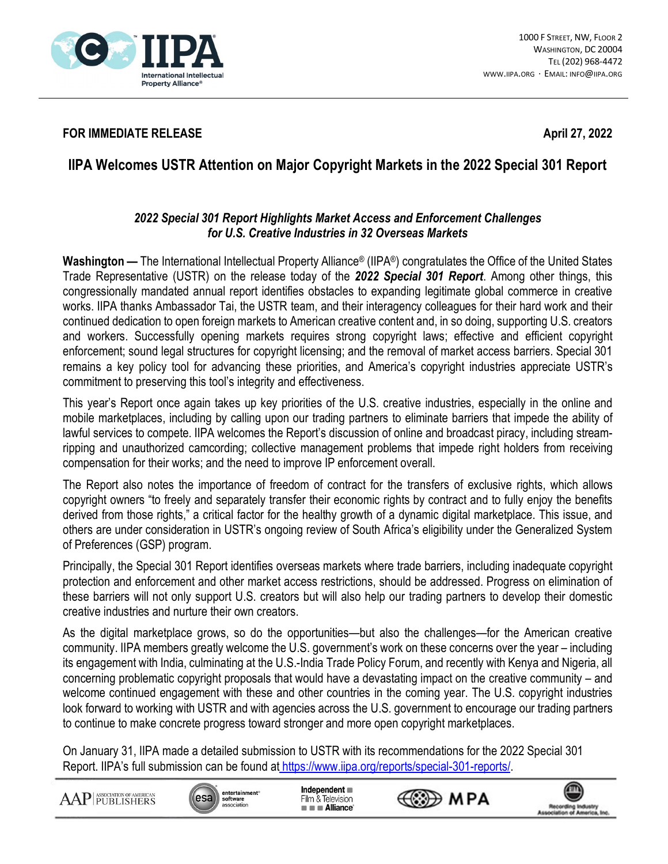

## **FOR IMMEDIATE RELEASE April 27, 2022**

## **IIPA Welcomes USTR Attention on Major Copyright Markets in the 2022 Special 301 Report**

## *2022 Special 301 Report Highlights Market Access and Enforcement Challenges for U.S. Creative Industries in 32 Overseas Markets*

**Washington —** The International Intellectual Property Alliance® (IIPA®) congratulates the Office of the United States Trade Representative (USTR) on the release today of the *2022 Special 301 Report*. Among other things, this congressionally mandated annual report identifies obstacles to expanding legitimate global commerce in creative works. IIPA thanks Ambassador Tai, the USTR team, and their interagency colleagues for their hard work and their continued dedication to open foreign markets to American creative content and, in so doing, supporting U.S. creators and workers. Successfully opening markets requires strong copyright laws; effective and efficient copyright enforcement; sound legal structures for copyright licensing; and the removal of market access barriers. Special 301 remains a key policy tool for advancing these priorities, and America's copyright industries appreciate USTR's commitment to preserving this tool's integrity and effectiveness.

This year's Report once again takes up key priorities of the U.S. creative industries, especially in the online and mobile marketplaces, including by calling upon our trading partners to eliminate barriers that impede the ability of lawful services to compete. IIPA welcomes the Report's discussion of online and broadcast piracy, including streamripping and unauthorized camcording; collective management problems that impede right holders from receiving compensation for their works; and the need to improve IP enforcement overall.

The Report also notes the importance of freedom of contract for the transfers of exclusive rights, which allows copyright owners "to freely and separately transfer their economic rights by contract and to fully enjoy the benefits derived from those rights," a critical factor for the healthy growth of a dynamic digital marketplace. This issue, and others are under consideration in USTR's ongoing review of South Africa's eligibility under the Generalized System of Preferences (GSP) program.

Principally, the Special 301 Report identifies overseas markets where trade barriers, including inadequate copyright protection and enforcement and other market access restrictions, should be addressed. Progress on elimination of these barriers will not only support U.S. creators but will also help our trading partners to develop their domestic creative industries and nurture their own creators.

As the digital marketplace grows, so do the opportunities—but also the challenges—for the American creative community. IIPA members greatly welcome the U.S. government's work on these concerns over the year – including its engagement with India, culminating at the U.S.-India Trade Policy Forum, and recently with Kenya and Nigeria, all concerning problematic copyright proposals that would have a devastating impact on the creative community – and welcome continued engagement with these and other countries in the coming year. The U.S. copyright industries look forward to working with USTR and with agencies across the U.S. government to encourage our trading partners to continue to make concrete progress toward stronger and more open copyright marketplaces.

On January 31, IIPA made a detailed submission to USTR with its recommendations for the 2022 Special 301 Report. IIPA's full submission can be found at https://www.iipa.org/reports/special-301-reports/.

AAP PUBLISHERS



Independent Film & Television  $\blacksquare$   $\blacksquare$  Alliance



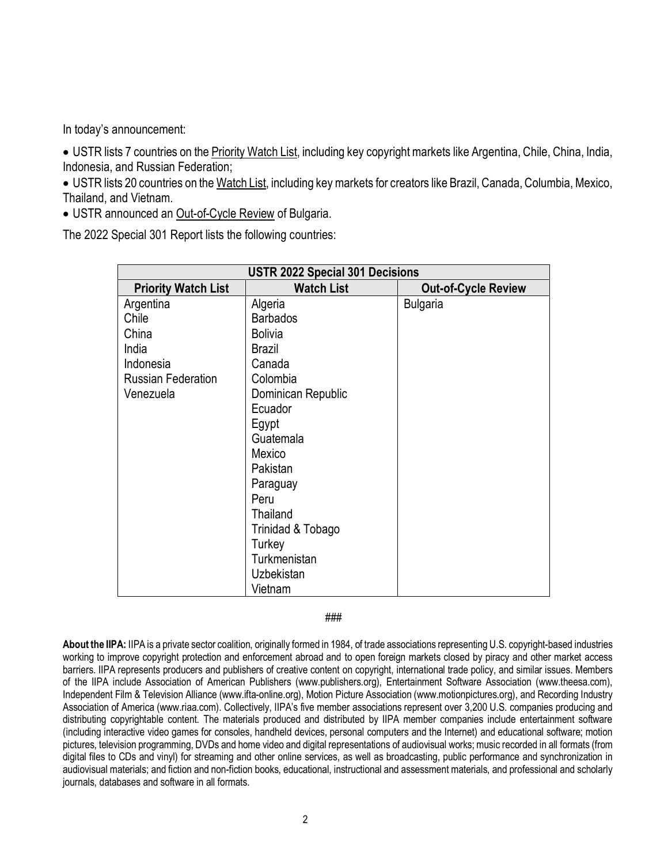In today's announcement:

• USTR lists 7 countries on the **Priority Watch List**, including key copyright markets like Argentina, Chile, China, India, Indonesia, and Russian Federation;

• USTR lists 20 countries on the Watch List, including key markets for creators like Brazil, Canada, Columbia, Mexico, Thailand, and Vietnam.

• USTR announced an Out-of-Cycle Review of Bulgaria.

The 2022 Special 301 Report lists the following countries:

| <b>USTR 2022 Special 301 Decisions</b> |                    |                            |
|----------------------------------------|--------------------|----------------------------|
| <b>Priority Watch List</b>             | <b>Watch List</b>  | <b>Out-of-Cycle Review</b> |
| Argentina                              | Algeria            | <b>Bulgaria</b>            |
| Chile                                  | <b>Barbados</b>    |                            |
| China                                  | <b>Bolivia</b>     |                            |
| India                                  | <b>Brazil</b>      |                            |
| Indonesia                              | Canada             |                            |
| <b>Russian Federation</b>              | Colombia           |                            |
| Venezuela                              | Dominican Republic |                            |
|                                        | Ecuador            |                            |
|                                        | Egypt              |                            |
|                                        | Guatemala          |                            |
|                                        | Mexico             |                            |
|                                        | Pakistan           |                            |
|                                        | Paraguay           |                            |
|                                        | Peru               |                            |
|                                        | Thailand           |                            |
|                                        | Trinidad & Tobago  |                            |
|                                        | Turkey             |                            |
|                                        | Turkmenistan       |                            |
|                                        | Uzbekistan         |                            |
|                                        | Vietnam            |                            |

## ###

**About the IIPA:** IIPA is a private sector coalition, originally formed in 1984, of trade associations representing U.S. copyright-based industries working to improve copyright protection and enforcement abroad and to open foreign markets closed by piracy and other market access barriers. IIPA represents producers and publishers of creative content on copyright, international trade policy, and similar issues. Members of the IIPA include Association of American Publishers (www.publishers.org), Entertainment Software Association (www.theesa.com), Independent Film & Television Alliance (www.ifta-online.org), Motion Picture Association (www.motionpictures.org), and Recording Industry Association of America (www.riaa.com). Collectively, IIPA's five member associations represent over 3,200 U.S. companies producing and distributing copyrightable content. The materials produced and distributed by IIPA member companies include entertainment software (including interactive video games for consoles, handheld devices, personal computers and the Internet) and educational software; motion pictures, television programming, DVDs and home video and digital representations of audiovisual works; music recorded in all formats (from digital files to CDs and vinyl) for streaming and other online services, as well as broadcasting, public performance and synchronization in audiovisual materials; and fiction and non-fiction books, educational, instructional and assessment materials, and professional and scholarly journals, databases and software in all formats.